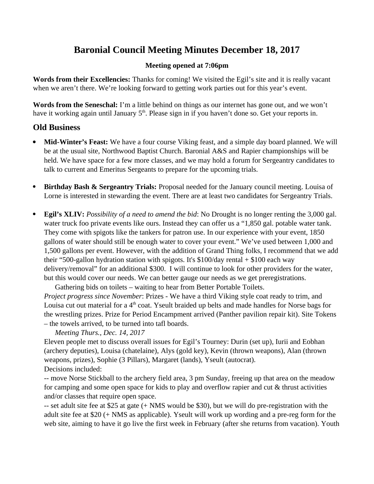# **Baronial Council Meeting Minutes December 18, 2017**

## **Meeting opened at 7:06pm**

**Words from their Excellencies:** Thanks for coming! We visited the Egil's site and it is really vacant when we aren't there. We're looking forward to getting work parties out for this year's event.

**Words from the Seneschal:** I'm a little behind on things as our internet has gone out, and we won't have it working again until January 5<sup>th</sup>. Please sign in if you haven't done so. Get your reports in.

# **Old Business**

- **Mid-Winter's Feast:** We have a four course Viking feast, and a simple day board planned. We will be at the usual site, Northwood Baptist Church. Baronial A&S and Rapier championships will be held. We have space for a few more classes, and we may hold a forum for Sergeantry candidates to talk to current and Emeritus Sergeants to prepare for the upcoming trials.
- **Birthday Bash & Sergeantry Trials:** Proposal needed for the January council meeting. Louisa of Lorne is interested in stewarding the event. There are at least two candidates for Sergeantry Trials.
- **Egil's XLIV:** *Possibility of a need to amend the bid*: No Drought is no longer renting the 3,000 gal. water truck foo private events like ours. Instead they can offer us a "1,850 gal. potable water tank. They come with spigots like the tankers for patron use. In our experience with your event, 1850 gallons of water should still be enough water to cover your event." We've used between 1,000 and 1,500 gallons per event. However, with the addition of Grand Thing folks, I recommend that we add their "500-gallon hydration station with spigots. It's  $$100$ /day rental  $+ $100$  each way delivery/removal" for an additional \$300. I will continue to look for other providers for the water, but this would cover our needs. We can better gauge our needs as we get preregistrations.

Gathering bids on toilets – waiting to hear from Better Portable Toilets. *Project progress since November*: Prizes - We have a third Viking style coat ready to trim, and Louisa cut out material for a  $4<sup>th</sup>$  coat. Yseult braided up belts and made handles for Norse bags for the wrestling prizes. Prize for Period Encampment arrived (Panther pavilion repair kit). Site Tokens – the towels arrived, to be turned into tafl boards.

*Meeting Thurs., Dec. 14, 2017*

Eleven people met to discuss overall issues for Egil's Tourney: Durin (set up), Iurii and Eobhan (archery deputies), Louisa (chatelaine), Alys (gold key), Kevin (thrown weapons), Alan (thrown weapons, prizes), Sophie (3 Pillars), Margaret (lands), Yseult (autocrat). Decisions included:

-- move Norse Stickball to the archery field area, 3 pm Sunday, freeing up that area on the meadow for camping and some open space for kids to play and overflow rapier and cut & thrust activities and/or classes that require open space.

-- set adult site fee at \$25 at gate (+ NMS would be \$30), but we will do pre-registration with the adult site fee at \$20 (+ NMS as applicable). Yseult will work up wording and a pre-reg form for the web site, aiming to have it go live the first week in February (after she returns from vacation). Youth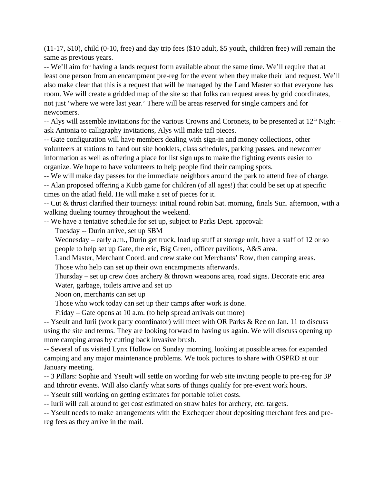(11-17, \$10), child (0-10, free) and day trip fees (\$10 adult, \$5 youth, children free) will remain the same as previous years.

-- We'll aim for having a lands request form available about the same time. We'll require that at least one person from an encampment pre-reg for the event when they make their land request. We'll also make clear that this is a request that will be managed by the Land Master so that everyone has room. We will create a gridded map of the site so that folks can request areas by grid coordinates, not just 'where we were last year.' There will be areas reserved for single campers and for newcomers.

-- Alys will assemble invitations for the various Crowns and Coronets, to be presented at  $12<sup>th</sup>$  Night – ask Antonia to calligraphy invitations, Alys will make tafl pieces.

-- Gate configuration will have members dealing with sign-in and money collections, other volunteers at stations to hand out site booklets, class schedules, parking passes, and newcomer information as well as offering a place for list sign ups to make the fighting events easier to organize. We hope to have volunteers to help people find their camping spots.

-- We will make day passes for the immediate neighbors around the park to attend free of charge.

-- Alan proposed offering a Kubb game for children (of all ages!) that could be set up at specific times on the atlatl field. He will make a set of pieces for it.

-- Cut & thrust clarified their tourneys: initial round robin Sat. morning, finals Sun. afternoon, with a walking dueling tourney throughout the weekend.

-- We have a tentative schedule for set up, subject to Parks Dept. approval:

Tuesday -- Durin arrive, set up SBM

Wednesday – early a.m., Durin get truck, load up stuff at storage unit, have a staff of 12 or so people to help set up Gate, the eric, Big Green, officer pavilions, A&S area.

 Land Master, Merchant Coord. and crew stake out Merchants' Row, then camping areas. Those who help can set up their own encampments afterwards.

Thursday – set up crew does archery & thrown weapons area, road signs. Decorate eric area Water, garbage, toilets arrive and set up

Noon on, merchants can set up

Those who work today can set up their camps after work is done.

Friday – Gate opens at 10 a.m. (to help spread arrivals out more)

-- Yseult and Iurii (work party coordinator) will meet with OR Parks & Rec on Jan. 11 to discuss using the site and terms. They are looking forward to having us again. We will discuss opening up more camping areas by cutting back invasive brush.

-- Several of us visited Lynx Hollow on Sunday morning, looking at possible areas for expanded camping and any major maintenance problems. We took pictures to share with OSPRD at our January meeting.

-- 3 Pillars: Sophie and Yseult will settle on wording for web site inviting people to pre-reg for 3P and Ithrotir events. Will also clarify what sorts of things qualify for pre-event work hours.

-- Yseult still working on getting estimates for portable toilet costs.

-- Iurii will call around to get cost estimated on straw bales for archery, etc. targets.

-- Yseult needs to make arrangements with the Exchequer about depositing merchant fees and prereg fees as they arrive in the mail.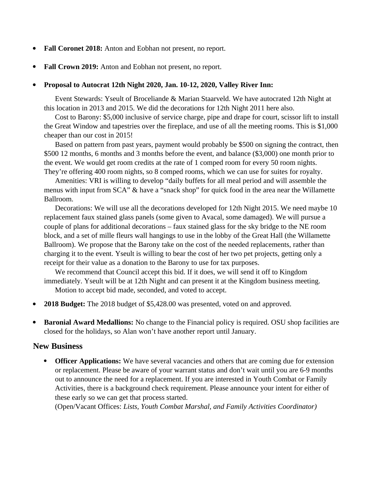- **Fall Coronet 2018:** Anton and Eobhan not present, no report.
- **Fall Crown 2019:** Anton and Eobhan not present, no report.

#### **Proposal to Autocrat 12th Night 2020, Jan. 10-12, 2020, Valley River Inn:**

Event Stewards: Yseult of Broceliande & Marian Staarveld. We have autocrated 12th Night at this location in 2013 and 2015. We did the decorations for 12th Night 2011 here also.

Cost to Barony: \$5,000 inclusive of service charge, pipe and drape for court, scissor lift to install the Great Window and tapestries over the fireplace, and use of all the meeting rooms. This is \$1,000 cheaper than our cost in 2015!

Based on pattern from past years, payment would probably be \$500 on signing the contract, then \$500 12 months, 6 months and 3 months before the event, and balance (\$3,000) one month prior to the event. We would get room credits at the rate of 1 comped room for every 50 room nights. They're offering 400 room nights, so 8 comped rooms, which we can use for suites for royalty.

Amenities: VRI is willing to develop "daily buffets for all meal period and will assemble the menus with input from SCA" & have a "snack shop" for quick food in the area near the Willamette Ballroom.

Decorations: We will use all the decorations developed for 12th Night 2015. We need maybe 10 replacement faux stained glass panels (some given to Avacal, some damaged). We will pursue a couple of plans for additional decorations – faux stained glass for the sky bridge to the NE room block, and a set of mille fleurs wall hangings to use in the lobby of the Great Hall (the Willamette Ballroom). We propose that the Barony take on the cost of the needed replacements, rather than charging it to the event. Yseult is willing to bear the cost of her two pet projects, getting only a receipt for their value as a donation to the Barony to use for tax purposes.

We recommend that Council accept this bid. If it does, we will send it off to Kingdom immediately. Yseult will be at 12th Night and can present it at the Kingdom business meeting. Motion to accept bid made, seconded, and voted to accept.

- **2018 Budget:** The 2018 budget of \$5,428.00 was presented, voted on and approved.
- **Baronial Award Medallions:** No change to the Financial policy is required. OSU shop facilities are closed for the holidays, so Alan won't have another report until January.

## **New Business**

 **Officer Applications:** We have several vacancies and others that are coming due for extension or replacement. Please be aware of your warrant status and don't wait until you are 6-9 months out to announce the need for a replacement. If you are interested in Youth Combat or Family Activities, there is a background check requirement. Please announce your intent for either of these early so we can get that process started.

(Open/Vacant Offices: *Lists, Youth Combat Marshal, and Family Activities Coordinator)*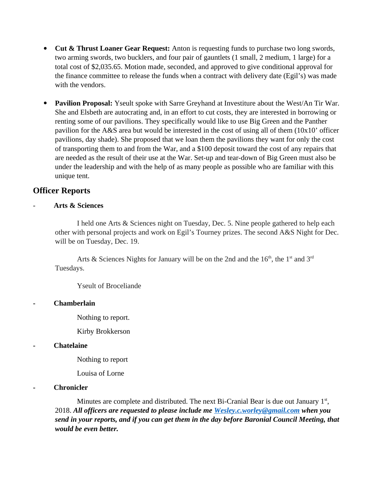- **Cut & Thrust Loaner Gear Request:** Anton is requesting funds to purchase two long swords, two arming swords, two bucklers, and four pair of gauntlets (1 small, 2 medium, 1 large) for a total cost of \$2,035.65. Motion made, seconded, and approved to give conditional approval for the finance committee to release the funds when a contract with delivery date (Egil's) was made with the vendors.
- **Pavilion Proposal:** Yseult spoke with Sarre Greyhand at Investiture about the West/An Tir War. She and Elsbeth are autocrating and, in an effort to cut costs, they are interested in borrowing or renting some of our pavilions. They specifically would like to use Big Green and the Panther pavilion for the A&S area but would be interested in the cost of using all of them (10x10' officer pavilions, day shade). She proposed that we loan them the pavilions they want for only the cost of transporting them to and from the War, and a \$100 deposit toward the cost of any repairs that are needed as the result of their use at the War. Set-up and tear-down of Big Green must also be under the leadership and with the help of as many people as possible who are familiar with this unique tent.

# **Officer Reports**

#### - **Arts & Sciences**

I held one Arts & Sciences night on Tuesday, Dec. 5. Nine people gathered to help each other with personal projects and work on Egil's Tourney prizes. The second A&S Night for Dec. will be on Tuesday, Dec. 19.

Arts & Sciences Nights for January will be on the 2nd and the  $16<sup>th</sup>$ , the 1<sup>st</sup> and 3<sup>rd</sup> Tuesdays.

Yseult of Broceliande

## **- Chamberlain**

Nothing to report.

Kirby Brokkerson

## **- Chatelaine**

Nothing to report

Louisa of Lorne

## **- Chronicler**

Minutes are complete and distributed. The next Bi-Cranial Bear is due out January  $1<sup>st</sup>$ , 2018. *All officers are requested to please include me [Wesley.c.worley@gmail.com](mailto:Wesley.c.worley@gmail.com) when you send in your reports, and if you can get them in the day before Baronial Council Meeting, that would be even better.*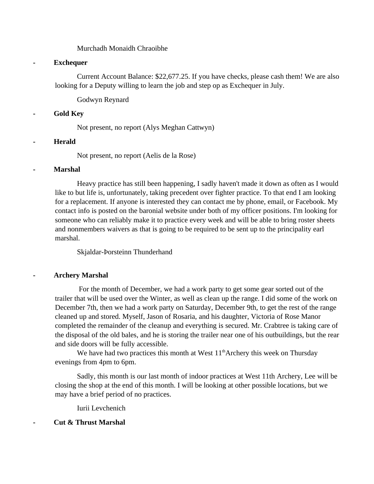Murchadh Monaidh Chraoibhe

#### **- Exchequer**

Current Account Balance: \$22,677.25. If you have checks, please cash them! We are also looking for a Deputy willing to learn the job and step op as Exchequer in July.

Godwyn Reynard

#### **- Gold Key**

Not present, no report (Alys Meghan Cattwyn)

#### **- Herald**

Not present, no report (Aelis de la Rose)

#### **- Marshal**

Heavy practice has still been happening, I sadly haven't made it down as often as I would like to but life is, unfortunately, taking precedent over fighter practice. To that end I am looking for a replacement. If anyone is interested they can contact me by phone, email, or Facebook. My contact info is posted on the baronial website under both of my officer positions. I'm looking for someone who can reliably make it to practice every week and will be able to bring roster sheets and nonmembers waivers as that is going to be required to be sent up to the principality earl marshal.

Skjaldar-Þorsteinn Thunderhand

## **- Archery Marshal**

For the month of December, we had a work party to get some gear sorted out of the trailer that will be used over the Winter, as well as clean up the range. I did some of the work on December 7th, then we had a work party on Saturday, December 9th, to get the rest of the range cleaned up and stored. Myself, Jason of Rosaria, and his daughter, Victoria of Rose Manor completed the remainder of the cleanup and everything is secured. Mr. Crabtree is taking care of the disposal of the old bales, and he is storing the trailer near one of his outbuildings, but the rear and side doors will be fully accessible.

We have had two practices this month at West  $11<sup>th</sup>$ Archery this week on Thursday evenings from 4pm to 6pm.

Sadly, this month is our last month of indoor practices at West 11th Archery, Lee will be closing the shop at the end of this month. I will be looking at other possible locations, but we may have a brief period of no practices.

Iurii Levchenich

## **- Cut & Thrust Marshal**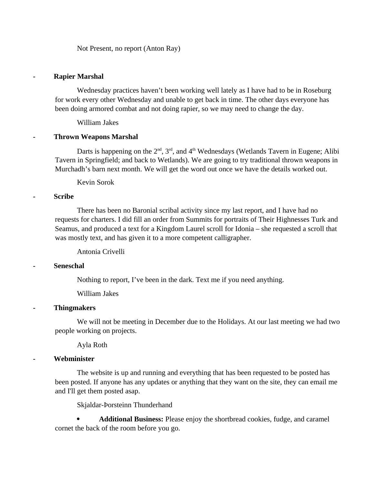Not Present, no report (Anton Ray)

#### **- Rapier Marshal**

Wednesday practices haven't been working well lately as I have had to be in Roseburg for work every other Wednesday and unable to get back in time. The other days everyone has been doing armored combat and not doing rapier, so we may need to change the day.

William Jakes

#### **- Thrown Weapons Marshal**

Darts is happening on the  $2<sup>nd</sup>$ ,  $3<sup>rd</sup>$ , and  $4<sup>th</sup>$  Wednesdays (Wetlands Tavern in Eugene; Alibi Tavern in Springfield; and back to Wetlands). We are going to try traditional thrown weapons in Murchadh's barn next month. We will get the word out once we have the details worked out.

Kevin Sorok

#### **- Scribe**

There has been no Baronial scribal activity since my last report, and I have had no requests for charters. I did fill an order from Summits for portraits of Their Highnesses Turk and Seamus, and produced a text for a Kingdom Laurel scroll for Idonia – she requested a scroll that was mostly text, and has given it to a more competent calligrapher.

Antonia Crivelli

#### **- Seneschal**

Nothing to report, I've been in the dark. Text me if you need anything.

William Jakes

#### **- Thingmakers**

We will not be meeting in December due to the Holidays. At our last meeting we had two people working on projects.

Ayla Roth

#### **- Webminister**

The website is up and running and everything that has been requested to be posted has been posted. If anyone has any updates or anything that they want on the site, they can email me and I'll get them posted asap.

Skjaldar-Þorsteinn Thunderhand

 **Additional Business:** Please enjoy the shortbread cookies, fudge, and caramel cornet the back of the room before you go.